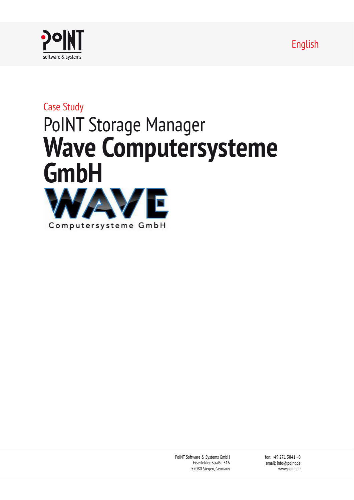English



# Case Study PoINT Storage Manager **Wave Computersysteme GmbH**Ē Computersysteme GmbH

PoINT Software & Systems GmbH Eiserfelder Straße 316 57080 Siegen, Germany fon: +49 271 3841 - 0 email: info@point.de www.point.de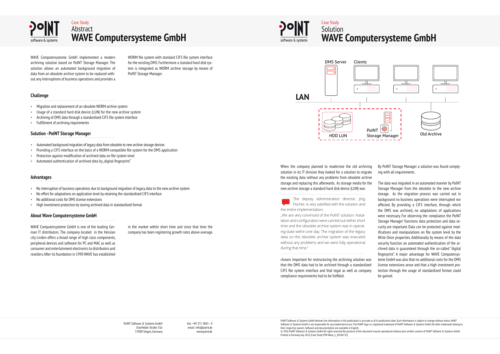PoINT Software & Systems GmbH Eiserfelder Straße 316 57080 Siegen, Germany fon: +49 271 3841 - 0 email: info@point.de www.point.de

PoINT Software & Systems GmbH believes the information in this publication is accurate as of its publication date. Such information is subject to change without notice. PoINT Software & Systems GmbH is not responsible for any inadvertent errors. The PoINT logo is a registered trademark of PoINT Software & Systems GmbH. All other trademarks belong to their respective owners. Software and documentation are available in English. © 2016 PoINT Software & Systems GmbH All rights reserved. No portions of this document may be reproduced without prior written consent of PoINT Software & Systems GmbH. Printed in Germany July 2016 (Case Study PSM Wave\_e\_20160725)

- Automated background migration of legacy data from obsolete to new archive storage devices
- Providing a CIFS interface on the basis of a WORM-compatible file system for the DMS application
- Protection against modification of archived data on file system level
- Automated authentication of archived data by "digital fingerprint"



#### **Solution - PoINT Storage Manager**

#### **Advantages**

#### **About Wave Computersysteme GmbH**

- Migration and replacement of an obsolete WORM archive system
- Usage of a standard hard disk device (LUN) for the new archive system
- Archiving of DMS data through a standardized CIFS file system interface
- Fulfillment of archiving requirements

Case Study **Solution** 

- No interruption of business operations due to background migration of legacy data to the new archive system
- No effort for adaptations on application level by retaining the standardized CIFS interface
- No additional costs for DMS license extensions
- High investment protection by storing archived data in standardized format

The deputy administration director, Jörg Fischer, is very satisfied with the solution and the entire implementation:

"We are very convinced of the PoINT solution. Installation and configuration were carried out within short time and the obsolete archive system was in operating-state within one day. The migration of the legacy data on the obsolete archive system was executed without any problems and we were fully operational during that time."

#### **Challenge**

## **WAVE Computersysteme GmbH**

When the company planned to modernize the old archiving solution in its IT division they looked for a solution to migrate the existing data without any problems from obsolete archive storage and replacing this afterwards. As storage media for the new archive storage a standard hard disk device (LUN) was

WAVE Computersysteme GmbH implemented a modern archiving solution based on PoINT Storage Manager. The solution allows an automated background migration of data from an obsolete archive system to be replaced without any interruptions of business operations and provides a

WAVE Computersysteme GmbH is one of the leading German IT distributors. The company located in the Hessian city Linden offers a broad range of high class components, peripheral devices and software for PC and MAC as well as consumer and entertainment electronics to distributors and resellers. After its foundation in 1990 WAVE has established

WORM file system with standard CIFS file system interface for the existing DMS. Furthermore a standard hard disk system is integrated as WORM archive storage by means of PoINT Storage Manager.



By PoINT Storage Manager a solution was found complying with all requirements.

The data was migrated in an automated manner by PoINT Storage Manager from the obsolete to the new archive storage. As the migration process was carried out in background no business operations were interrupted nor affected. By providing a CIFS interface, through which the DMS was archived, no adaptations of applications were necessary. For observing the compliance the PoINT Storage Manager' functions data protection and data security are important. Data can be protected against modifications and manipulations on file system level by the Write-Once properties. Additionally by means of the data security function an automated authentication of the archived data is guaranteed through the so-called "digital fingerprint". A major advantage for WAVE Computersysteme GmbH was also that no additional costs for the DMS license extensions arose and that a high investment protection through the usage of standardized format could be gained.

in the market within short time and since that time the company has been registering growth rates above-average. software & systems

chosen. Important for restructuring the archiving solution was that the DMS data had to be archived through a standardized CIFS file system interface and that legal as well as company compliance requirements had to be fulfilled.